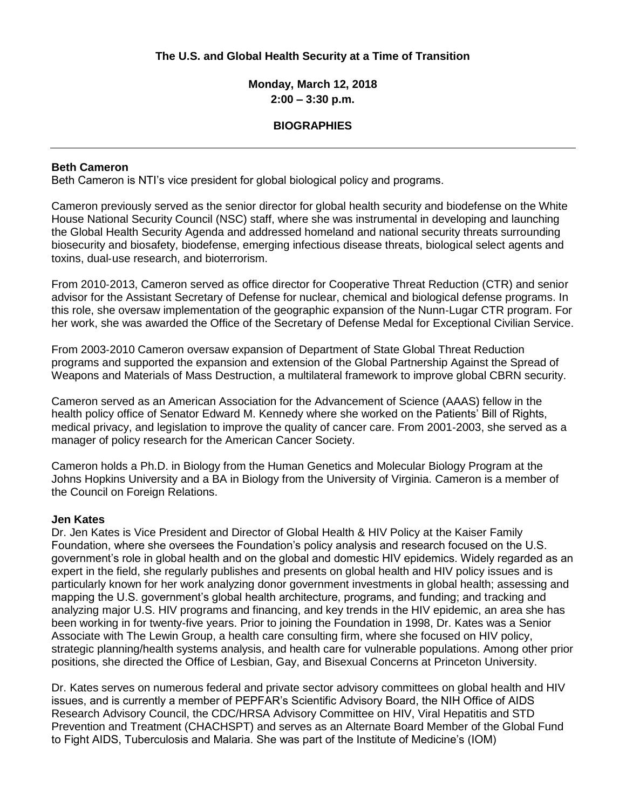# **The U.S. and Global Health Security at a Time of Transition**

# **Monday, March 12, 2018 2:00 – 3:30 p.m.**

### **BIOGRAPHIES**

### **Beth Cameron**

Beth Cameron is NTI's vice president for global biological policy and programs.

Cameron previously served as the senior director for global health security and biodefense on the White House National Security Council (NSC) staff, where she was instrumental in developing and launching the Global Health Security Agenda and addressed homeland and national security threats surrounding biosecurity and biosafety, biodefense, emerging infectious disease threats, biological select agents and toxins, dual‐use research, and bioterrorism.

From 2010‐2013, Cameron served as office director for Cooperative Threat Reduction (CTR) and senior advisor for the Assistant Secretary of Defense for nuclear, chemical and biological defense programs. In this role, she oversaw implementation of the geographic expansion of the Nunn‐Lugar CTR program. For her work, she was awarded the Office of the Secretary of Defense Medal for Exceptional Civilian Service.

From 2003‐2010 Cameron oversaw expansion of Department of State Global Threat Reduction programs and supported the expansion and extension of the Global Partnership Against the Spread of Weapons and Materials of Mass Destruction, a multilateral framework to improve global CBRN security.

Cameron served as an American Association for the Advancement of Science (AAAS) fellow in the health policy office of Senator Edward M. Kennedy where she worked on the Patients' Bill of Rights, medical privacy, and legislation to improve the quality of cancer care. From 2001‐2003, she served as a manager of policy research for the American Cancer Society.

Cameron holds a Ph.D. in Biology from the Human Genetics and Molecular Biology Program at the Johns Hopkins University and a BA in Biology from the University of Virginia. Cameron is a member of the Council on Foreign Relations.

#### **Jen Kates**

Dr. Jen Kates is Vice President and Director of Global Health & HIV Policy at the Kaiser Family Foundation, where she oversees the Foundation's policy analysis and research focused on the U.S. government's role in global health and on the global and domestic HIV epidemics. Widely regarded as an expert in the field, she regularly publishes and presents on global health and HIV policy issues and is particularly known for her work analyzing donor government investments in global health; assessing and mapping the U.S. government's global health architecture, programs, and funding; and tracking and analyzing major U.S. HIV programs and financing, and key trends in the HIV epidemic, an area she has been working in for twenty-five years. Prior to joining the Foundation in 1998, Dr. Kates was a Senior Associate with The Lewin Group, a health care consulting firm, where she focused on HIV policy, strategic planning/health systems analysis, and health care for vulnerable populations. Among other prior positions, she directed the Office of Lesbian, Gay, and Bisexual Concerns at Princeton University.

Dr. Kates serves on numerous federal and private sector advisory committees on global health and HIV issues, and is currently a member of PEPFAR's Scientific Advisory Board, the NIH Office of AIDS Research Advisory Council, the CDC/HRSA Advisory Committee on HIV, Viral Hepatitis and STD Prevention and Treatment (CHACHSPT) and serves as an Alternate Board Member of the Global Fund to Fight AIDS, Tuberculosis and Malaria. She was part of the Institute of Medicine's (IOM)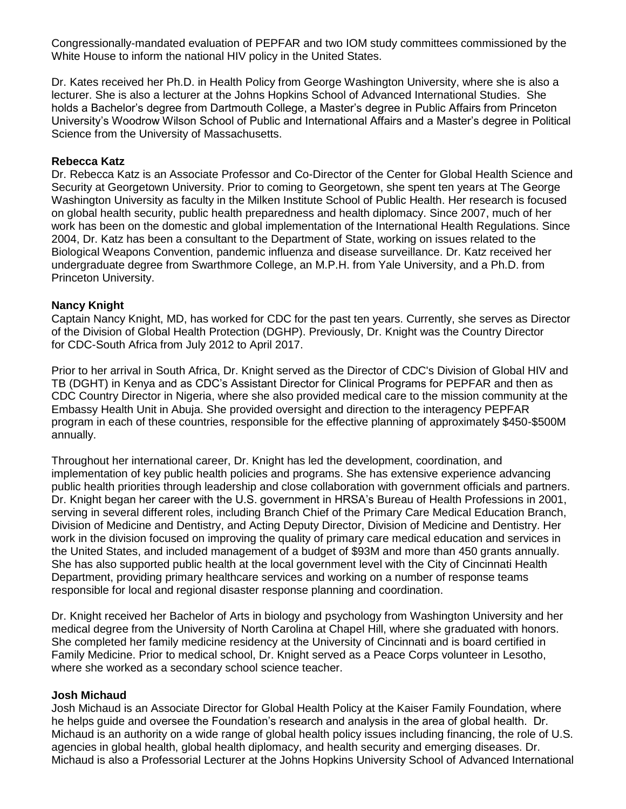Congressionally-mandated evaluation of PEPFAR and two IOM study committees commissioned by the White House to inform the national HIV policy in the United States.

Dr. Kates received her Ph.D. in Health Policy from George Washington University, where she is also a lecturer. She is also a lecturer at the Johns Hopkins School of Advanced International Studies. She holds a Bachelor's degree from Dartmouth College, a Master's degree in Public Affairs from Princeton University's Woodrow Wilson School of Public and International Affairs and a Master's degree in Political Science from the University of Massachusetts.

## **Rebecca Katz**

Dr. Rebecca Katz is an Associate Professor and Co-Director of the Center for Global Health Science and Security at Georgetown University. Prior to coming to Georgetown, she spent ten years at The George Washington University as faculty in the Milken Institute School of Public Health. Her research is focused on global health security, public health preparedness and health diplomacy. Since 2007, much of her work has been on the domestic and global implementation of the International Health Regulations. Since 2004, Dr. Katz has been a consultant to the Department of State, working on issues related to the Biological Weapons Convention, pandemic influenza and disease surveillance. Dr. Katz received her undergraduate degree from Swarthmore College, an M.P.H. from Yale University, and a Ph.D. from Princeton University.

### **Nancy Knight**

Captain Nancy Knight, MD, has worked for CDC for the past ten years. Currently, she serves as Director of the Division of Global Health Protection (DGHP). Previously, Dr. Knight was the Country Director for [CDC-South Africa](https://www.cdc.gov/globalhealth/countries/southafrica/default.htm) from July 2012 to April 2017.

Prior to her arrival in South Africa, Dr. Knight served as the Director of CDC's Division of Global HIV and TB (DGHT) in [Kenya](https://www.cdc.gov/globalhealth/countries/kenya/default.htm) and as CDC's Assistant Director for Clinical Programs for [PEPFAR](https://www.pepfar.gov/) and then as CDC Country Director in [Nigeria,](https://www.cdc.gov/globalhealth/countries/nigeria/default.htm) where she also provided medical care to the mission community at the Embassy Health Unit in Abuja. She provided oversight and direction to the interagency PEPFAR program in each of these countries, responsible for the effective planning of approximately \$450-\$500M annually.

Throughout her international career, Dr. Knight has led the development, coordination, and implementation of key public health policies and programs. She has extensive experience advancing public health priorities through leadership and close collaboration with government officials and partners. Dr. Knight began her career with the U.S. government in HRSA's [Bureau of Health Professions](https://bhw.hrsa.gov/) in 2001, serving in several different roles, including Branch Chief of the Primary Care Medical Education Branch, Division of Medicine and Dentistry, and Acting Deputy Director, Division of Medicine and Dentistry. Her work in the division focused on improving the quality of primary care medical education and services in the United States, and included management of a budget of \$93M and more than 450 grants annually. She has also supported public health at the local government level with the [City of Cincinnati Health](http://www.cincinnati-oh.gov/health/)  [Department,](http://www.cincinnati-oh.gov/health/) providing primary healthcare services and working on a number of response teams responsible for local and regional disaster response planning and coordination.

Dr. Knight received her Bachelor of Arts in biology and psychology from Washington University and her medical degree from the University of North Carolina at Chapel Hill, where she graduated with honors. She completed her family medicine residency at the University of Cincinnati and is board certified in Family Medicine. Prior to medical school, Dr. Knight served as a [Peace Corps](https://www.peacecorps.gov/) volunteer in Lesotho, where she worked as a secondary school science teacher.

#### **Josh Michaud**

Josh Michaud is an Associate Director for Global Health Policy at the Kaiser Family Foundation, where he helps guide and oversee the Foundation's research and analysis in the area of global health. Dr. Michaud is an authority on a wide range of global health policy issues including financing, the role of U.S. agencies in global health, global health diplomacy, and health security and emerging diseases. Dr. Michaud is also a Professorial Lecturer at the Johns Hopkins University School of Advanced International